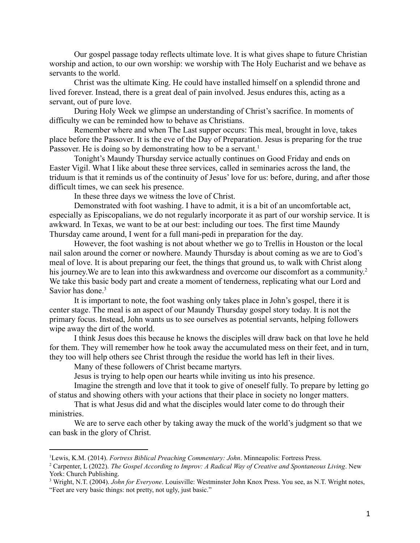Our gospel passage today reflects ultimate love. It is what gives shape to future Christian worship and action, to our own worship: we worship with The Holy Eucharist and we behave as servants to the world.

Christ was the ultimate King. He could have installed himself on a splendid throne and lived forever. Instead, there is a great deal of pain involved. Jesus endures this, acting as a servant, out of pure love.

During Holy Week we glimpse an understanding of Christ's sacrifice. In moments of difficulty we can be reminded how to behave as Christians.

Remember where and when The Last supper occurs: This meal, brought in love, takes place before the Passover. It is the eve of the Day of Preparation. Jesus is preparing for the true Passover. He is doing so by demonstrating how to be a servant.<sup>1</sup>

Tonight's Maundy Thursday service actually continues on Good Friday and ends on Easter Vigil. What I like about these three services, called in seminaries across the land, the triduum is that it reminds us of the continuity of Jesus' love for us: before, during, and after those difficult times, we can seek his presence.

In these three days we witness the love of Christ.

Demonstrated with foot washing. I have to admit, it is a bit of an uncomfortable act, especially as Episcopalians, we do not regularly incorporate it as part of our worship service. It is awkward. In Texas, we want to be at our best: including our toes. The first time Maundy Thursday came around, I went for a full mani-pedi in preparation for the day.

However, the foot washing is not about whether we go to Trellis in Houston or the local nail salon around the corner or nowhere. Maundy Thursday is about coming as we are to God's meal of love. It is about preparing our feet, the things that ground us, to walk with Christ along his journey. We are to lean into this awkwardness and overcome our discomfort as a community.<sup>2</sup> We take this basic body part and create a moment of tenderness, replicating what our Lord and Savior has done.<sup>3</sup>

It is important to note, the foot washing only takes place in John's gospel, there it is center stage. The meal is an aspect of our Maundy Thursday gospel story today. It is not the primary focus. Instead, John wants us to see ourselves as potential servants, helping followers wipe away the dirt of the world.

I think Jesus does this because he knows the disciples will draw back on that love he held for them. They will remember how he took away the accumulated mess on their feet, and in turn, they too will help others see Christ through the residue the world has left in their lives.

Many of these followers of Christ became martyrs.

Jesus is trying to help open our hearts while inviting us into his presence.

Imagine the strength and love that it took to give of oneself fully. To prepare by letting go of status and showing others with your actions that their place in society no longer matters.

That is what Jesus did and what the disciples would later come to do through their ministries.

We are to serve each other by taking away the muck of the world's judgment so that we can bask in the glory of Christ.

<sup>1</sup>Lewis, K.M. (2014). *Fortress Biblical Preaching Commentary: John*. Minneapolis: Fortress Press.

<sup>2</sup> Carpenter, L (2022). *The Gospel According to Improv: A Radical Way of Creative and [Spontaneous](https://smile.amazon.com/Gospel-According-Improv-Creative-Spontaneous/dp/1640653635/ref=sr_1_1?keywords=les+carpenter&qid=1649963621&s=books&sprefix=les+carp%2Cstripbooks%2C94&sr=1-1) Living*. New York: Church Publishing.

<sup>3</sup> Wright, N.T. (2004). *John for Everyone*. Louisville: Westminster John Knox Press. You see, as N.T. Wright notes, "Feet are very basic things: not pretty, not ugly, just basic."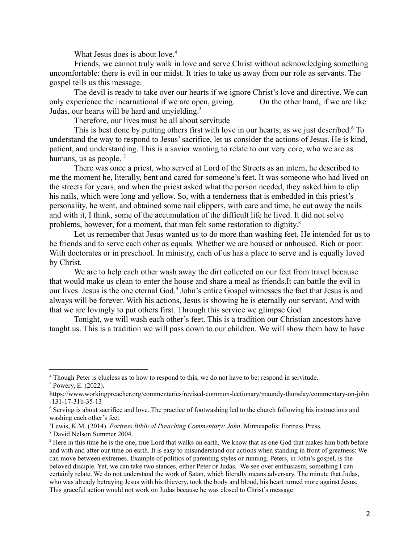What Jesus does is about love. $4$ 

Friends, we cannot truly walk in love and serve Christ without acknowledging something uncomfortable: there is evil in our midst. It tries to take us away from our role as servants. The gospel tells us this message.

The devil is ready to take over our hearts if we ignore Christ's love and directive. We can only experience the incarnational if we are open, giving. On the other hand, if we are like Judas, our hearts will be hard and unvielding.<sup>5</sup>

Therefore, our lives must be all about servitude

This is best done by putting others first with love in our hearts; as we just described.<sup>6</sup> To understand the way to respond to Jesus' sacrifice, let us consider the actions of Jesus. He is kind, patient, and understanding. This is a savior wanting to relate to our very core, who we are as humans, us as people.  $<sup>7</sup>$ </sup>

There was once a priest, who served at Lord of the Streets as an intern, he described to me the moment he, literally, bent and cared for someone's feet. It was someone who had lived on the streets for years, and when the priest asked what the person needed, they asked him to clip his nails, which were long and yellow. So, with a tenderness that is embedded in this priest's personality, he went, and obtained some nail clippers, with care and time, he cut away the nails and with it, I think, some of the accumulation of the difficult life he lived. It did not solve problems, however, for a moment, that man felt some restoration to dignity.<sup>8</sup>

Let us remember that Jesus wanted us to do more than washing feet. He intended for us to be friends and to serve each other as equals. Whether we are housed or unhoused. Rich or poor. With doctorates or in preschool. In ministry, each of us has a place to serve and is equally loved by Christ.

We are to help each other wash away the dirt collected on our feet from travel because that would make us clean to enter the house and share a meal as friends.It can battle the evil in our lives. Jesus is the one eternal God.<sup>9</sup> John's entire Gospel witnesses the fact that Jesus is and always will be forever. With his actions, Jesus is showing he is eternally our servant. And with that we are lovingly to put others first. Through this service we glimpse God.

Tonight, we will wash each other's feet. This is a tradition our Christian ancestors have taught us. This is a tradition we will pass down to our children. We will show them how to have

<sup>5</sup> Powery, E. (2022). <sup>4</sup> Though Peter is clueless as to how to respond to this, we do not have to be: respond in servitude.

https://www.workingpreacher.org/commentaries/revised-common-lectionary/maundy-thursday/commentary-on-john -131-17-31b-35-13

<sup>&</sup>lt;sup>6</sup> Serving is about sacrifice and love. The practice of footwashing led to the church following his instructions and washing each other's feet.

<sup>7</sup>Lewis, K.M. (2014). *Fortress Biblical Preaching Commentary: John*. Minneapolis: Fortress Press.

<sup>8</sup> David Nelson Summer 2004.

<sup>&</sup>lt;sup>9</sup> Here in this time he is the one, true Lord that walks on earth. We know that as one God that makes him both before and with and after our time on earth. It is easy to misunderstand our actions when standing in front of greatness: We can move between extremes. Example of politics of parenting styles or running. Peters, in John's gospel, is the beloved disciple. Yet, we can take two stances, either Peter or Judas. We see over enthusiasm, something I can certainly relate. We do not understand the work of Satan, which literally means adversary. The minute that Judas, who was already betraying Jesus with his thievery, took the body and blood, his heart turned more against Jesus. This graceful action would not work on Judas because he was closed to Christ's message.